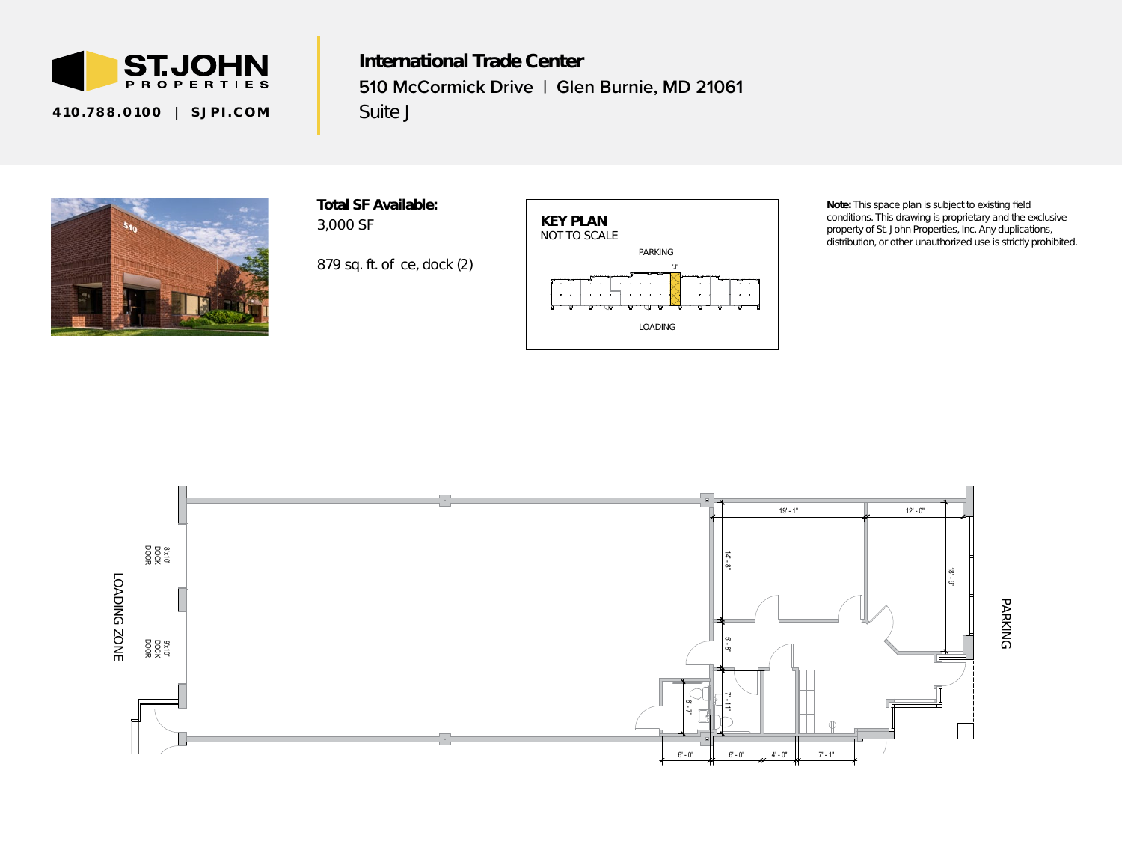

410.788.0100 | SJPI.COM

International Trade Center **510 McCormick Drive | Glen Burnie, MD 21061** Suite J



Total SF Available: 3,000 SF

*879 sq. ft. office, dock (2)*



*Note: This space plan is subject to existing field conditions. This drawing is proprietary and the exclusive property of St. John Properties, Inc. Any duplications, distribution, or other unauthorized use is strictly prohibited.*